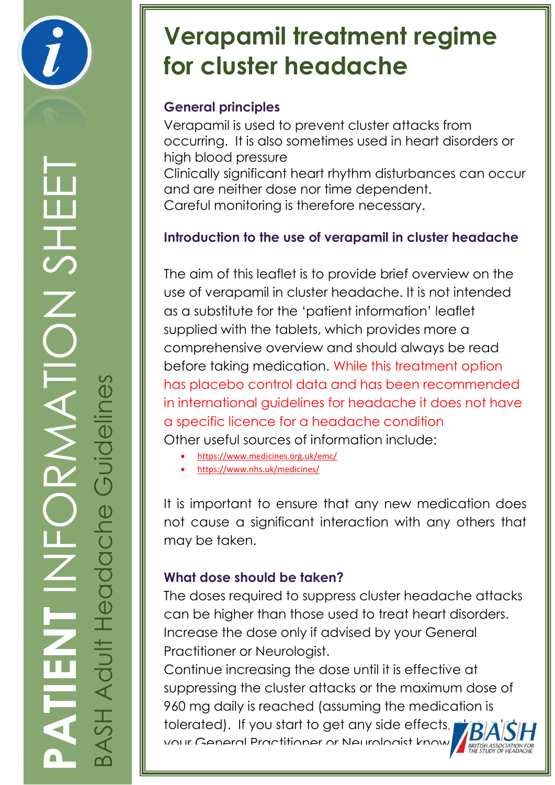

# **Verapamil treatment regime for cluster headache**

## **General principles**

Verapamil is used to prevent cluster attacks from occurring. It is also sometimes used in heart disorders or high blood pressure Clinically significant heart rhythm disturbances can occur and are neither dose nor time dependent. Careful monitoring is therefore necessary.

## **Introduction to the use of verapamil in cluster headache**

The aim of this leaflet is to provide brief overview on the use of verapamil in cluster headache. It is not intended as a substitute for the 'patient information' leaflet supplied with the tablets, which provides more a comprehensive overview and should always be read before taking medication. While this treatment option has placebo control data and has been recommended in international guidelines for headache it does not have a specific licence for a headache condition Other useful sources of information include:

- <https://www.medicines.org.uk/emc/>
- <https://www.nhs.uk/medicines/>

It is important to ensure that any new medication does not cause a significant interaction with any others that may be taken.

## **What dose should be taken?**

The doses required to suppress cluster headache attacks can be higher than those used to treat heart disorders. Increase the dose only if advised by your General Practitioner or Neurologist.

Continue increasing the dose until it is effective at suppressing the cluster attacks or the maximum dose of 960 mg daily is reached (assuming the medication is tolerated). If you start to get any side effects, your General Practitioner or Neurologist know as soon as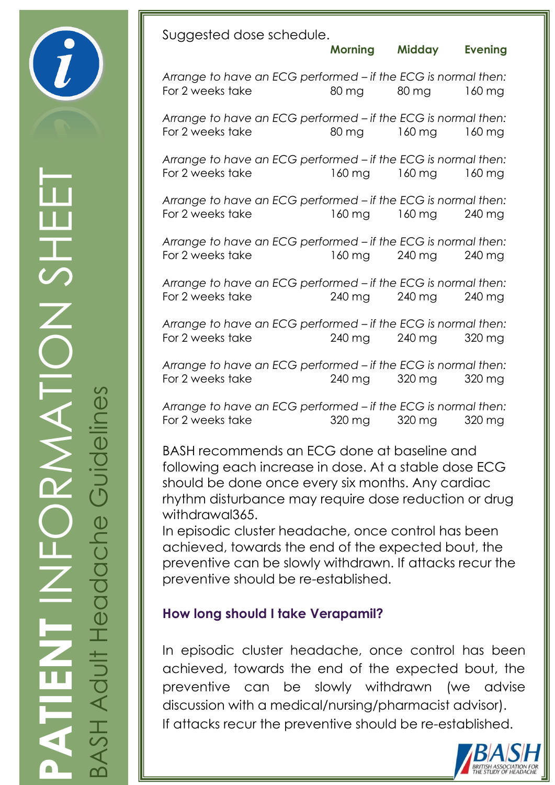Suggested dose schedule.

**Morning Midday Evening** 

*Arrange to have an ECG performed – if the ECG is normal then:* For 2 weeks take 80 mg 80 mg 160 mg

*Arrange to have an ECG performed – if the ECG is normal then:* For 2 weeks take 80 mg 160 mg 160 mg

*Arrange to have an ECG performed – if the ECG is normal then:* For 2 weeks take 160 mg 160 mg 160 mg

*Arrange to have an ECG performed – if the ECG is normal then:* For 2 weeks take 160 mg 160 mg 240 mg

*Arrange to have an ECG performed – if the ECG is normal then:* For 2 weeks take 160 mg 240 mg 240 mg

*Arrange to have an ECG performed – if the ECG is normal then:* For 2 weeks take 240 mg 240 mg 240 mg

*Arrange to have an ECG performed – if the ECG is normal then:* For 2 weeks take 240 mg 240 mg 320 mg

*Arrange to have an ECG performed – if the ECG is normal then:* For 2 weeks take 240 mg 320 mg 320 mg

*Arrange to have an ECG performed – if the ECG is normal then:* For 2 weeks take 320 mg 320 mg 320 mg

BASH recommends an ECG done at baseline and following each increase in dose. At a stable dose ECG should be done once every six months. Any cardiac rhythm disturbance may require dose reduction or drug withdrawal365.

In episodic cluster headache, once control has been achieved, towards the end of the expected bout, the preventive can be slowly withdrawn. If attacks recur the preventive should be re-established.

### **How long should I take Verapamil?**

In episodic cluster headache, once control has been achieved, towards the end of the expected bout, the preventive can be slowly withdrawn (we advise discussion with a medical/nursing/pharmacist advisor). If attacks recur the preventive should be re-established.



**PATIENT** INFORMATION SHEET  $\frac{1}{\sqrt{2}}$ BASH Adult Headache Guidelines  $\breve{\mathrm{o}}$